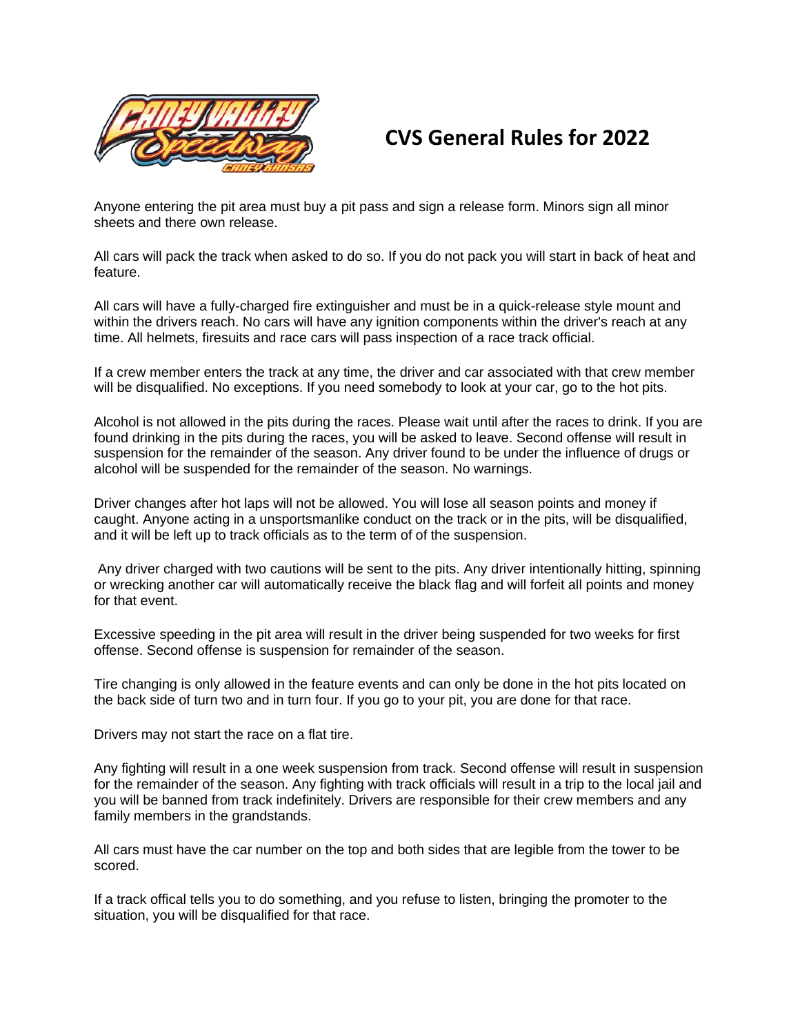

## **CVS General Rules for 2022**

Anyone entering the pit area must buy a pit pass and sign a release form. Minors sign all minor sheets and there own release.

All cars will pack the track when asked to do so. If you do not pack you will start in back of heat and feature.

All cars will have a fully-charged fire extinguisher and must be in a quick-release style mount and within the drivers reach. No cars will have any ignition components within the driver's reach at any time. All helmets, firesuits and race cars will pass inspection of a race track official.

If a crew member enters the track at any time, the driver and car associated with that crew member will be disqualified. No exceptions. If you need somebody to look at your car, go to the hot pits.

Alcohol is not allowed in the pits during the races. Please wait until after the races to drink. If you are found drinking in the pits during the races, you will be asked to leave. Second offense will result in suspension for the remainder of the season. Any driver found to be under the influence of drugs or alcohol will be suspended for the remainder of the season. No warnings.

Driver changes after hot laps will not be allowed. You will lose all season points and money if caught. Anyone acting in a unsportsmanlike conduct on the track or in the pits, will be disqualified, and it will be left up to track officials as to the term of of the suspension.

Any driver charged with two cautions will be sent to the pits. Any driver intentionally hitting, spinning or wrecking another car will automatically receive the black flag and will forfeit all points and money for that event.

Excessive speeding in the pit area will result in the driver being suspended for two weeks for first offense. Second offense is suspension for remainder of the season.

Tire changing is only allowed in the feature events and can only be done in the hot pits located on the back side of turn two and in turn four. If you go to your pit, you are done for that race.

Drivers may not start the race on a flat tire.

Any fighting will result in a one week suspension from track. Second offense will result in suspension for the remainder of the season. Any fighting with track officials will result in a trip to the local jail and you will be banned from track indefinitely. Drivers are responsible for their crew members and any family members in the grandstands.

All cars must have the car number on the top and both sides that are legible from the tower to be scored.

If a track offical tells you to do something, and you refuse to listen, bringing the promoter to the situation, you will be disqualified for that race.